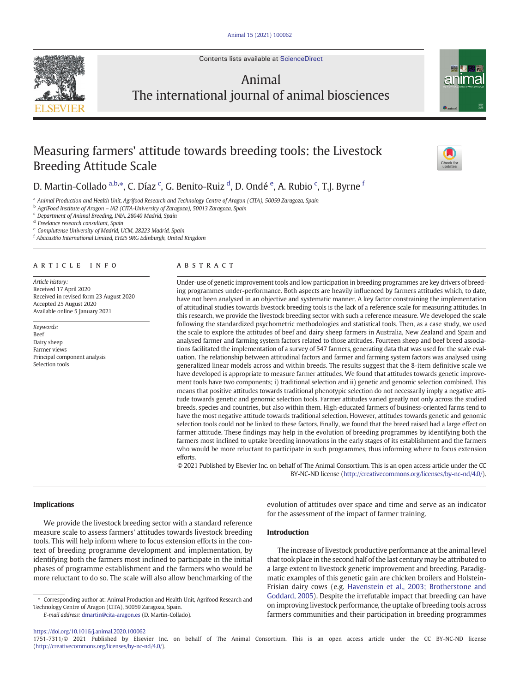Contents lists available at [ScienceDirect](http://www.sciencedirect.com/science/journal/)



# Animal The international journal of animal biosciences



# Measuring farmers' attitude towards breeding tools: the Livestock Breeding Attitude Scale

D. Martin-Collado <sup>a,b,\*</sup>, C. Díaz <sup>c</sup>, G. Benito-Ruiz <sup>d</sup>, D. Ondé <sup>e</sup>, A. Rubio <sup>c</sup>, T.J. Byrne <sup>f</sup>

a Animal Production and Health Unit, Agrifood Research and Technology Centre of Aragon (CITA), 50059 Zaragoza, Spain

<sup>b</sup> AgriFood Institute of Aragon – IA2 (CITA-University of Zaragoza), 50013 Zaragoza, Spain

<sup>c</sup> Department of Animal Breeding, INIA, 28040 Madrid, Spain

<sup>d</sup> Freelance research consultant, Spain

<sup>e</sup> Complutense University of Madrid, UCM, 28223 Madrid, Spain

<sup>f</sup> AbacusBio International Limited, EH25 9RG Edinburgh, United Kingdom

# article info abstract

Article history: Received 17 April 2020 Received in revised form 23 August 2020 Accepted 25 August 2020 Available online 5 January 2021

Keywords: Beef Dairy sheep Farmer views Principal component analysis Selection tools

Under-use of genetic improvement tools and low participation in breeding programmes are key drivers of breeding programmes under-performance. Both aspects are heavily influenced by farmers attitudes which, to date, have not been analysed in an objective and systematic manner. A key factor constraining the implementation of attitudinal studies towards livestock breeding tools is the lack of a reference scale for measuring attitudes. In this research, we provide the livestock breeding sector with such a reference measure. We developed the scale following the standardized psychometric methodologies and statistical tools. Then, as a case study, we used the scale to explore the attitudes of beef and dairy sheep farmers in Australia, New Zealand and Spain and analysed farmer and farming system factors related to those attitudes. Fourteen sheep and beef breed associations facilitated the implementation of a survey of 547 farmers, generating data that was used for the scale evaluation. The relationship between attitudinal factors and farmer and farming system factors was analysed using generalized linear models across and within breeds. The results suggest that the 8-item definitive scale we have developed is appropriate to measure farmer attitudes. We found that attitudes towards genetic improvement tools have two components; i) traditional selection and ii) genetic and genomic selection combined. This means that positive attitudes towards traditional phenotypic selection do not necessarily imply a negative attitude towards genetic and genomic selection tools. Farmer attitudes varied greatly not only across the studied breeds, species and countries, but also within them. High-educated farmers of business-oriented farms tend to have the most negative attitude towards traditional selection. However, attitudes towards genetic and genomic selection tools could not be linked to these factors. Finally, we found that the breed raised had a large effect on farmer attitude. These findings may help in the evolution of breeding programmes by identifying both the farmers most inclined to uptake breeding innovations in the early stages of its establishment and the farmers who would be more reluctant to participate in such programmes, thus informing where to focus extension efforts.

© 2021 Published by Elsevier Inc. on behalf of The Animal Consortium. This is an open access article under the CC BY-NC-ND license ([http://creativecommons.org/licenses/by-nc-nd/4.0/\)](http://creativecommons.org/licenses/by-nc-nd/4.0/).

#### Implications

We provide the livestock breeding sector with a standard reference measure scale to assess farmers' attitudes towards livestock breeding tools. This will help inform where to focus extension efforts in the context of breeding programme development and implementation, by identifying both the farmers most inclined to participate in the initial phases of programme establishment and the farmers who would be more reluctant to do so. The scale will also allow benchmarking of the

E-mail address: [dmartin@cita-aragon.es](mailto:dmartin@cita-aragon.es) (D. Martin-Collado).

evolution of attitudes over space and time and serve as an indicator for the assessment of the impact of farmer training.

## Introduction

The increase of livestock productive performance at the animal level that took place in the second half of the last century may be attributed to a large extent to livestock genetic improvement and breeding. Paradigmatic examples of this genetic gain are chicken broilers and Holstein-Frisian dairy cows (e.g. [Havenstein et al., 2003; Brotherstone and](#page-7-0) [Goddard, 2005\)](#page-7-0). Despite the irrefutable impact that breeding can have on improving livestock performance, the uptake of breeding tools across farmers communities and their participation in breeding programmes

<https://doi.org/10.1016/j.animal.2020.100062>

1751-7311/© 2021 Published by Elsevier Inc. on behalf of The Animal Consortium. This is an open access article under the CC BY-NC-ND license [\(http://creativecommons.org/licenses/by-nc-nd/4.0/\)](http://creativecommons.org/licenses/by-nc-nd/4.0/).



<sup>⁎</sup> Corresponding author at: Animal Production and Health Unit, Agrifood Research and Technology Centre of Aragon (CITA), 50059 Zaragoza, Spain.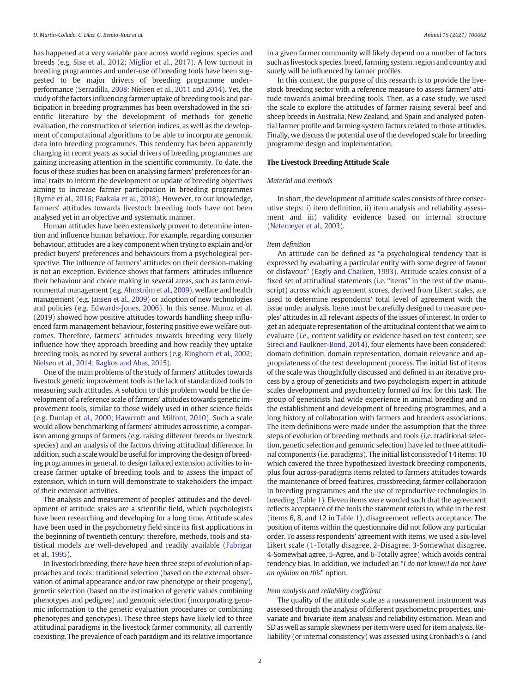has happened at a very variable pace across world regions, species and breeds (e.g. [Sise et al., 2012; Miglior et al., 2017\)](#page-7-0). A low turnout in breeding programmes and under-use of breeding tools have been suggested to be major drivers of breeding programme underperformance ([Serradilla, 2008; Nielsen et al., 2011 and 2014](#page-7-0)). Yet, the study of the factors influencing farmer uptake of breeding tools and participation in breeding programmes has been overshadowed in the scientific literature by the development of methods for genetic evaluation, the construction of selection indices, as well as the development of computational algorithms to be able to incorporate genomic data into breeding programmes. This tendency has been apparently changing in recent years as social drivers of breeding programmes are gaining increasing attention in the scientific community. To date, the focus of these studies has been on analysing farmers' preferences for animal traits to inform the development or update of breeding objectives aiming to increase farmer participation in breeding programmes ([Byrne et al., 2016; Paakala et al., 2018\)](#page-7-0). However, to our knowledge, farmers' attitudes towards livestock breeding tools have not been analysed yet in an objective and systematic manner.

Human attitudes have been extensively proven to determine intention and influence human behaviour. For example, regarding consumer behaviour, attitudes are a key component when trying to explain and/or predict buyers' preferences and behaviours from a psychological perspective. The influence of farmers' attitudes on their decision-making is not an exception. Evidence shows that farmers' attitudes influence their behaviour and choice making in several areas, such as farm environmental management (e.g. [Ahnström et al., 2009\)](#page-7-0), welfare and health management (e.g. [Jansen et al., 2009](#page-7-0)) or adoption of new technologies and policies (e.g. [Edwards-Jones, 2006](#page-7-0)). In this sense, [Munoz et al.](#page-7-0) [\(2019\)](#page-7-0) showed how positive attitudes towards handling sheep influenced farm management behaviour, fostering positive ewe welfare outcomes. Therefore, farmers' attitudes towards breeding very likely influence how they approach breeding and how readily they uptake breeding tools, as noted by several authors (e.g. [Kinghorn et al., 2002;](#page-7-0) [Nielsen et al., 2014; Ragkos and Abas, 2015](#page-7-0)).

One of the main problems of the study of farmers' attitudes towards livestock genetic improvement tools is the lack of standardized tools to measuring such attitudes. A solution to this problem would be the development of a reference scale of farmers' attitudes towards genetic improvement tools, similar to those widely used in other science fields (e.g. [Dunlap et al., 2000; Hawcroft and Milfont, 2010](#page-7-0)). Such a scale would allow benchmarking of farmers' attitudes across time, a comparison among groups of farmers (e.g. raising different breeds or livestock species) and an analysis of the factors driving attitudinal difference. In addition, such a scale would be useful for improving the design of breeding programmes in general, to design tailored extension activities to increase farmer uptake of breeding tools and to assess the impact of extension, which in turn will demonstrate to stakeholders the impact of their extension activities.

The analysis and measurement of peoples' attitudes and the development of attitude scales are a scientific field, which psychologists have been researching and developing for a long time. Attitude scales have been used in the psychometry field since its first applications in the beginning of twentieth century; therefore, methods, tools and statistical models are well-developed and readily available ([Fabrigar](#page-7-0) [et al., 1995\)](#page-7-0).

In livestock breeding, there have been three steps of evolution of approaches and tools: traditional selection (based on the external observation of animal appearance and/or raw phenotype or their progeny), genetic selection (based on the estimation of genetic values combining phenotypes and pedigree) and genomic selection (incorporating genomic information to the genetic evaluation procedures or combining phenotypes and genotypes). These three steps have likely led to three attitudinal paradigms in the livestock farmer community, all currently coexisting. The prevalence of each paradigm and its relative importance in a given farmer community will likely depend on a number of factors such as livestock species, breed, farming system, region and country and surely will be influenced by farmer profiles.

In this context, the purpose of this research is to provide the livestock breeding sector with a reference measure to assess farmers' attitude towards animal breeding tools. Then, as a case study, we used the scale to explore the attitudes of farmer raising several beef and sheep breeds in Australia, New Zealand, and Spain and analysed potential farmer profile and farming system factors related to those attitudes. Finally, we discuss the potential use of the developed scale for breeding programme design and implementation.

# The Livestock Breeding Attitude Scale

# Material and methods

In short, the development of attitude scales consists of three consecutive steps: i) item definition, ii) item analysis and reliability assessment and iii) validity evidence based on internal structure ([Netemeyer et al., 2003](#page-7-0)).

## Item definition

An attitude can be defined as "a psychological tendency that is expressed by evaluating a particular entity with some degree of favour or disfavour" [\(Eagly and Chaiken, 1993\)](#page-7-0). Attitude scales consist of a fixed set of attitudinal statements (i.e. "items" in the rest of the manuscript) across which agreement scores, derived from Likert scales, are used to determine respondents' total level of agreement with the issue under analysis. Items must be carefully designed to measure peoples' attitudes in all relevant aspects of the issues of interest. In order to get an adequate representation of the attitudinal content that we aim to evaluate (i.e., content validity or evidence based on test content; see [Sireci and Faulkner-Bond, 2014\)](#page-7-0), four elements have been considered: domain definition, domain representation, domain relevance and appropriateness of the test development process. The initial list of items of the scale was thoughtfully discussed and defined in an iterative process by a group of geneticists and two psychologists expert in attitude scales development and psychometry formed ad hoc for this task. The group of geneticists had wide experience in animal breeding and in the establishment and development of breeding programmes, and a long history of collaboration with farmers and breeders associations. The item definitions were made under the assumption that the three steps of evolution of breeding methods and tools (i.e. traditional selection, genetic selection and genomic selection) have led to three attitudinal components (i.e. paradigms). The initial list consisted of 14 items: 10 which covered the three hypothesized livestock breeding components, plus four across-paradigms items related to farmers attitudes towards the maintenance of breed features, crossbreeding, farmer collaboration in breeding programmes and the use of reproductive technologies in breeding ([Table 1](#page-2-0)). Eleven items were worded such that the agreement reflects acceptance of the tools the statement refers to, while in the rest (items 6, 8, and 12 in [Table 1\)](#page-2-0), disagreement reflects acceptance. The position of items within the questionnaire did not follow any particular order. To assess respondents' agreement with items, we used a six-level Likert scale (1-Totally disagree, 2-Disagree, 3-Somewhat disagree, 4-Somewhat agree, 5-Agree, and 6-Totally agree) which avoids central tendency bias. In addition, we included an "I do not know/I do not have an opinion on this" option.

## Item analysis and reliability coefficient

The quality of the attitude scale as a measurement instrument was assessed through the analysis of different psychometric properties, univariate and bivariate item analysis and reliability estimation. Mean and SD as well as sample skewness per item were used for item analysis. Reliability (or internal consistency) was assessed using Cronbach's  $\alpha$  (and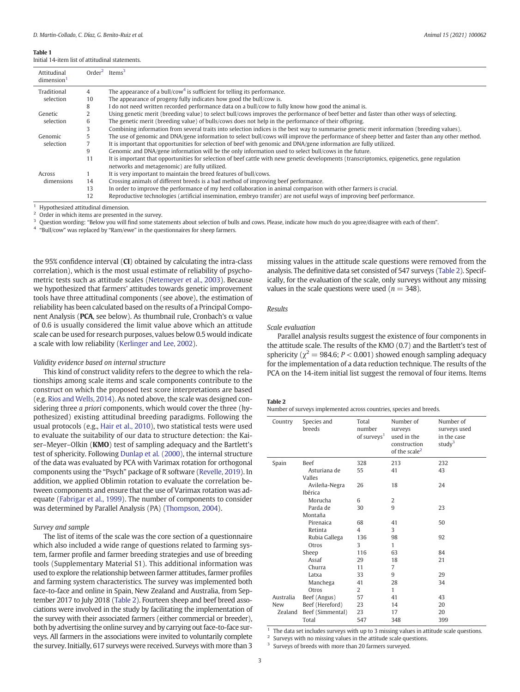#### <span id="page-2-0"></span>Table 1

Initial 14-item list of attitudinal statements.

| Attitudinal<br>dimension <sup>1</sup> |    | $Order2$ Items <sup>3</sup>                                                                                                                    |
|---------------------------------------|----|------------------------------------------------------------------------------------------------------------------------------------------------|
| Traditional                           | 4  | The appearance of a bull/cow <sup>4</sup> is sufficient for telling its performance.                                                           |
| selection                             | 10 | The appearance of progeny fully indicates how good the bull/cow is.                                                                            |
|                                       | 8  | I do not need written recorded performance data on a bull/cow to fully know how good the animal is.                                            |
| Genetic                               |    | Using genetic merit (breeding value) to select bull/cows improves the performance of beef better and faster than other ways of selecting.      |
| selection                             | 6  | The genetic merit (breeding value) of bulls/cows does not help in the performance of their offspring.                                          |
|                                       |    | Combining information from several traits into selection indices is the best way to summarise genetic merit information (breeding values).     |
| Genomic                               |    | The use of genomic and DNA/gene information to select bull/cows will improve the performance of sheep better and faster than any other method. |
| selection                             |    | It is important that opportunities for selection of beef with genomic and DNA/gene information are fully utilized.                             |
|                                       | 9  | Genomic and DNA/gene information will be the only information used to select bull/cows in the future.                                          |
|                                       | 11 | It is important that opportunities for selection of beef cattle with new genetic developments (transcriptomics, epigenetics, gene regulation   |
|                                       |    | networks and metagenomic) are fully utilized.                                                                                                  |
| Across                                |    | It is very important to maintain the breed features of bull/cows.                                                                              |
| dimensions                            | 14 | Crossing animals of different breeds is a bad method of improving beef performance.                                                            |
|                                       | 13 | In order to improve the performance of my herd collaboration in animal comparison with other farmers is crucial.                               |
|                                       | 12 | Reproductive technologies (artificial insemination, embryo transfer) are not useful ways of improving beef performance.                        |

Hypothesized attitudinal dimension.

Order in which items are presented in the survey.

Question wording: "Below you will find some statements about selection of bulls and cows. Please, indicate how much do you agree/disagree with each of them".

<sup>4</sup> "Bull/cow" was replaced by "Ram/ewe" in the questionnaires for sheep farmers.

the 95% confidence interval (CI) obtained by calculating the intra-class correlation), which is the most usual estimate of reliability of psychometric tests such as attitude scales [\(Netemeyer et al., 2003\)](#page-7-0). Because we hypothesized that farmers' attitudes towards genetic improvement tools have three attitudinal components (see above), the estimation of reliability has been calculated based on the results of a Principal Component Analysis (PCA, see below). As thumbnail rule, Cronbach's α value of 0.6 is usually considered the limit value above which an attitude scale can be used for research purposes, values below 0.5 would indicate a scale with low reliability ([Kerlinger and Lee, 2002\)](#page-7-0).

## Validity evidence based on internal structure

This kind of construct validity refers to the degree to which the relationships among scale items and scale components contribute to the construct on which the proposed test score interpretations are based (e.g. [Rios and Wells, 2014\)](#page-7-0). As noted above, the scale was designed considering three a priori components, which would cover the three (hypothesized) existing attitudinal breeding paradigms. Following the usual protocols (e.g., [Hair et al., 2010](#page-7-0)), two statistical tests were used to evaluate the suitability of our data to structure detection: the Kaiser-Meyer-Olkin (KMO) test of sampling adequacy and the Bartlett's test of sphericity. Following [Dunlap et al. \(2000\)](#page-7-0), the internal structure of the data was evaluated by PCA with Varimax rotation for orthogonal components using the "Psych" package of R software [\(Revelle, 2019](#page-7-0)). In addition, we applied Oblimin rotation to evaluate the correlation between components and ensure that the use of Varimax rotation was adequate [\(Fabrigar et al., 1999](#page-7-0)). The number of components to consider was determined by Parallel Analysis (PA) [\(Thompson, 2004](#page-7-0)).

#### Survey and sample

The list of items of the scale was the core section of a questionnaire which also included a wide range of questions related to farming system, farmer profile and farmer breeding strategies and use of breeding tools (Supplementary Material S1). This additional information was used to explore the relationship between farmer attitudes, farmer profiles and farming system characteristics. The survey was implemented both face-to-face and online in Spain, New Zealand and Australia, from September 2017 to July 2018 (Table 2). Fourteen sheep and beef breed associations were involved in the study by facilitating the implementation of the survey with their associated farmers (either commercial or breeder), both by advertising the online survey and by carrying out face-to-face surveys. All farmers in the associations were invited to voluntarily complete the survey. Initially, 617 surveys were received. Surveys with more than 3

missing values in the attitude scale questions were removed from the analysis. The definitive data set consisted of 547 surveys (Table 2). Specifically, for the evaluation of the scale, only surveys without any missing values in the scale questions were used ( $n = 348$ ).

## Results

# Scale evaluation

Parallel analysis results suggest the existence of four components in the attitude scale. The results of the KMO (0.7) and the Bartlett's test of sphericity ( $\chi^2$  = 984.6; P < 0.001) showed enough sampling adequacy for the implementation of a data reduction technique. The results of the PCA on the 14-item initial list suggest the removal of four items. Items

#### Table 2

Number of surveys implemented across countries, species and breeds.

| Country   | Species and<br>breeds    | Total<br>number<br>of surveys <sup>1</sup> | Number of<br>surveys<br>used in the<br>construction<br>of the scale <sup>2</sup> | Number of<br>surveys used<br>in the case<br>stud $v^3$ |
|-----------|--------------------------|--------------------------------------------|----------------------------------------------------------------------------------|--------------------------------------------------------|
| Spain     | <b>Beef</b>              | 328                                        | 213                                                                              | 232                                                    |
|           | Asturiana de<br>Valles   | 55                                         | 41                                                                               | 43                                                     |
|           | Avileña-Negra<br>Ibérica | 26                                         | 18                                                                               | 24                                                     |
|           | Morucha                  | 6                                          | 2                                                                                |                                                        |
|           | Parda de                 | 30                                         | 9                                                                                | 23                                                     |
|           | Montaña                  |                                            |                                                                                  |                                                        |
|           | Pirenaica                | 68                                         | 41                                                                               | 50                                                     |
|           | Retinta                  | 4                                          | 3                                                                                |                                                        |
|           | Rubia Gallega            | 136                                        | 98                                                                               | 92                                                     |
|           | Otros                    | 3                                          | 1                                                                                |                                                        |
|           | Sheep                    | 116                                        | 63                                                                               | 84                                                     |
|           | Assaf                    | 29                                         | 18                                                                               | 21                                                     |
|           | Churra                   | 11                                         | 7                                                                                |                                                        |
|           | Latxa                    | 33                                         | 9                                                                                | 29                                                     |
|           | Manchega                 | 41                                         | 28                                                                               | 34                                                     |
|           | Otros                    | 2                                          | 1                                                                                |                                                        |
| Australia | Beef (Angus)             | 57                                         | 41                                                                               | 43                                                     |
| New       | Beef (Hereford)          | 23                                         | 14                                                                               | 20                                                     |
| Zealand   | Beef (Simmental)         | 23                                         | 17                                                                               | 20                                                     |
|           | Total                    | 547                                        | 348                                                                              | 399                                                    |

 $1$  The data set includes surveys with up to 3 missing values in attitude scale questions.

<sup>2</sup> Surveys with no missing values in the attitude scale questions.

Surveys of breeds with more than 20 farmers surveyed.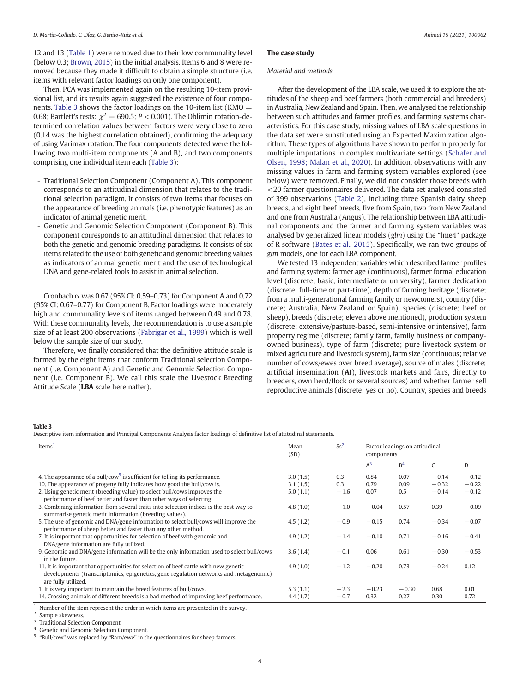12 and 13 [\(Table 1\)](#page-2-0) were removed due to their low communality level (below 0.3; [Brown, 2015\)](#page-7-0) in the initial analysis. Items 6 and 8 were removed because they made it difficult to obtain a simple structure (i.e. items with relevant factor loadings on only one component).

Then, PCA was implemented again on the resulting 10-item provisional list, and its results again suggested the existence of four components. Table 3 shows the factor loadings on the 10-item list (KMO  $=$ 0.68; Bartlett's tests:  $\chi^2 = 690.5$ ;  $P < 0.001$ ). The Oblimin rotation-determined correlation values between factors were very close to zero (0.14 was the highest correlation obtained), confirming the adequacy of using Varimax rotation. The four components detected were the following two multi-item components (A and B), and two components comprising one individual item each (Table 3):

- Traditional Selection Component (Component A). This component corresponds to an attitudinal dimension that relates to the traditional selection paradigm. It consists of two items that focuses on the appearance of breeding animals (i.e. phenotypic features) as an indicator of animal genetic merit.
- Genetic and Genomic Selection Component (Component B). This component corresponds to an attitudinal dimension that relates to both the genetic and genomic breeding paradigms. It consists of six items related to the use of both genetic and genomic breeding values as indicators of animal genetic merit and the use of technological DNA and gene-related tools to assist in animal selection.

Cronbach  $\alpha$  was 0.67 (95% CI: 0.59–0.73) for Component A and 0.72 (95% CI: 0.67–0.77) for Component B. Factor loadings were moderately high and communality levels of items ranged between 0.49 and 0.78. With these communality levels, the recommendation is to use a sample size of at least 200 observations ([Fabrigar et al., 1999](#page-7-0)) which is well below the sample size of our study.

Therefore, we finally considered that the definitive attitude scale is formed by the eight items that conform Traditional selection Component (i.e. Component A) and Genetic and Genomic Selection Component (i.e. Component B). We call this scale the Livestock Breeding Attitude Scale (LBA scale hereinafter).

# The case study

## Material and methods

After the development of the LBA scale, we used it to explore the attitudes of the sheep and beef farmers (both commercial and breeders) in Australia, New Zealand and Spain. Then, we analysed the relationship between such attitudes and farmer profiles, and farming systems characteristics. For this case study, missing values of LBA scale questions in the data set were substituted using an Expected Maximization algorithm. These types of algorithms have shown to perform properly for multiple imputations in complex multivariate settings ([Schafer and](#page-7-0) [Olsen, 1998; Malan et al., 2020\)](#page-7-0). In addition, observations with any missing values in farm and farming system variables explored (see below) were removed. Finally, we did not consider those breeds with <20 farmer questionnaires delivered. The data set analysed consisted of 399 observations [\(Table 2\)](#page-2-0), including three Spanish dairy sheep breeds, and eight beef breeds, five from Spain, two from New Zealand and one from Australia (Angus). The relationship between LBA attitudinal components and the farmer and farming system variables was analysed by generalized linear models (glm) using the "lme4" package of R software [\(Bates et al., 2015\)](#page-7-0). Specifically, we ran two groups of glm models, one for each LBA component.

We tested 13 independent variables which described farmer profiles and farming system: farmer age (continuous), farmer formal education level (discrete; basic, intermediate or university), farmer dedication (discrete; full-time or part-time), depth of farming heritage (discrete; from a multi-generational farming family or newcomers), country (discrete; Australia, New Zealand or Spain), species (discrete; beef or sheep), breeds (discrete; eleven above mentioned), production system (discrete; extensive/pasture-based, semi-intensive or intensive), farm property regime (discrete; family farm, family business or companyowned business), type of farm (discrete; pure livestock system or mixed agriculture and livestock system), farm size (continuous; relative number of cows/ewes over breed average), source of males (discrete; artificial insemination (AI), livestock markets and fairs, directly to breeders, own herd/flock or several sources) and whether farmer sell reproductive animals (discrete; yes or no). Country, species and breeds

#### Table 3

Descriptive item information and Principal Components Analysis factor loadings of definitive list of attitudinal statements.

| Items <sup>1</sup>                                                                                                                                                                                   |          | $Ss^2$ | Factor loadings on attitudinal<br>components |                |         |         |
|------------------------------------------------------------------------------------------------------------------------------------------------------------------------------------------------------|----------|--------|----------------------------------------------|----------------|---------|---------|
|                                                                                                                                                                                                      |          |        | $A^3$                                        | B <sup>4</sup> | C       | D       |
| 4. The appearance of a bull/cow <sup>5</sup> is sufficient for telling its performance.                                                                                                              | 3.0(1.5) | 0.3    | 0.84                                         | 0.07           | $-0.14$ | $-0.12$ |
| 10. The appearance of progeny fully indicates how good the bull/cow is.                                                                                                                              | 3.1(1.5) | 0.3    | 0.79                                         | 0.09           | $-0.32$ | $-0.22$ |
| 2. Using genetic merit (breeding value) to select bull/cows improves the<br>performance of beef better and faster than other ways of selecting.                                                      | 5.0(1.1) | $-1.6$ | 0.07                                         | 0.5            | $-0.14$ | $-0.12$ |
| 3. Combining information from several traits into selection indices is the best way to<br>summarise genetic merit information (breeding values).                                                     | 4.8(1.0) | $-1.0$ | $-0.04$                                      | 0.57           | 0.39    | $-0.09$ |
| 5. The use of genomic and DNA/gene information to select bull/cows will improve the<br>performance of sheep better and faster than any other method.                                                 | 4.5(1.2) | $-0.9$ | $-0.15$                                      | 0.74           | $-0.34$ | $-0.07$ |
| 7. It is important that opportunities for selection of beef with genomic and<br>DNA/gene information are fully utilized.                                                                             | 4.9(1.2) | $-1.4$ | $-0.10$                                      | 0.71           | $-0.16$ | $-0.41$ |
| 9. Genomic and DNA/gene information will be the only information used to select bull/cows<br>in the future.                                                                                          | 3.6(1.4) | $-0.1$ | 0.06                                         | 0.61           | $-0.30$ | $-0.53$ |
| 11. It is important that opportunities for selection of beef cattle with new genetic<br>developments (transcriptomics, epigenetics, gene regulation networks and metagenomic)<br>are fully utilized. | 4.9(1.0) | $-1.2$ | $-0.20$                                      | 0.73           | $-0.24$ | 0.12    |
| 1. It is very important to maintain the breed features of bull/cows.                                                                                                                                 | 5.3(1.1) | $-2.3$ | $-0.23$                                      | $-0.30$        | 0.68    | 0.01    |
| 14. Crossing animals of different breeds is a bad method of improving beef performance.                                                                                                              | 4.4(1.7) | $-0.7$ | 0.32                                         | 0.27           | 0.30    | 0.72    |

Number of the item represent the order in which items are presented in the survey.

Sample skewness.

<sup>3</sup> Traditional Selection Component.

Genetic and Genomic Selection Component.

"Bull/cow" was replaced by "Ram/ewe" in the questionnaires for sheep farmers.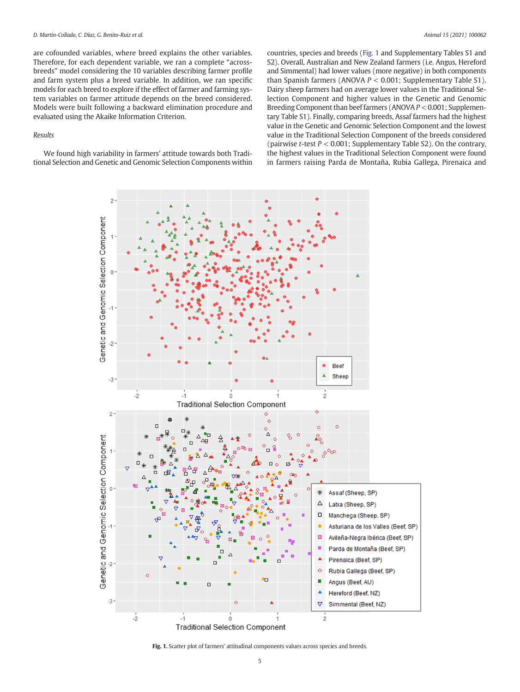are cofounded variables, where breed explains the other variables. Therefore, for each dependent variable, we ran a complete "acrossbreeds" model considering the 10 variables describing farmer profile and farm system plus a breed variable. In addition, we ran specific models for each breed to explore if the effect of farmer and farming system variables on farmer attitude depends on the breed considered. Models were built following a backward elimination procedure and evaluated using the Akaike Information Criterion.

#### Results

We found high variability in farmers' attitude towards both Traditional Selection and Genetic and Genomic Selection Components within countries, species and breeds (Fig. 1 and Supplementary Tables S1 and S2). Overall, Australian and New Zealand farmers (i.e. Angus, Hereford and Simmental) had lower values (more negative) in both components than Spanish farmers (ANOVA  $P < 0.001$ ; Supplementary Table S1). Dairy sheep farmers had on average lower values in the Traditional Selection Component and higher values in the Genetic and Genomic Breeding Component than beef farmers (ANOVA P < 0.001; Supplementary Table S1). Finally, comparing breeds, Assaf farmers had the highest value in the Genetic and Genomic Selection Component and the lowest value in the Traditional Selection Component of the breeds considered (pairwise *t*-test  $P < 0.001$ ; Supplementary Table S2). On the contrary, the highest values in the Traditional Selection Component were found in farmers raising Parda de Montaña, Rubia Gallega, Pirenaica and



Fig. 1. Scatter plot of farmers' attitudinal components values across species and breeds.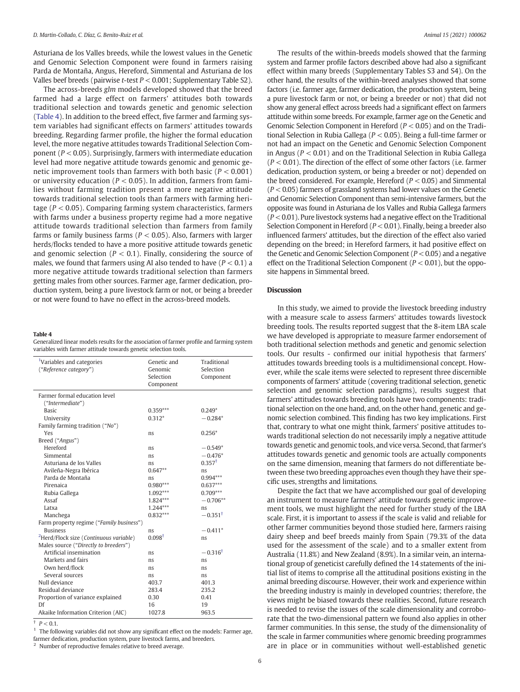Asturiana de los Valles breeds, while the lowest values in the Genetic and Genomic Selection Component were found in farmers raising Parda de Montaña, Angus, Hereford, Simmental and Asturiana de los Valles beef breeds (pairwise t-test  $P < 0.001$ ; Supplementary Table S2).

The across-breeds glm models developed showed that the breed farmed had a large effect on farmers' attitudes both towards traditional selection and towards genetic and genomic selection (Table 4). In addition to the breed effect, five farmer and farming system variables had significant effects on farmers' attitudes towards breeding. Regarding farmer profile, the higher the formal education level, the more negative attitudes towards Traditional Selection Component ( $P < 0.05$ ). Surprisingly, farmers with intermediate education level had more negative attitude towards genomic and genomic genetic improvement tools than farmers with both basic ( $P < 0.001$ ) or university education ( $P < 0.05$ ). In addition, farmers from families without farming tradition present a more negative attitude towards traditional selection tools than farmers with farming heritage ( $P < 0.05$ ). Comparing farming system characteristics, farmers with farms under a business property regime had a more negative attitude towards traditional selection than farmers from family farms or family business farms ( $P < 0.05$ ). Also, farmers with larger herds/flocks tended to have a more positive attitude towards genetic and genomic selection ( $P < 0.1$ ). Finally, considering the source of males, we found that farmers using AI also tended to have  $(P < 0.1)$  a more negative attitude towards traditional selection than farmers getting males from other sources. Farmer age, farmer dedication, production system, being a pure livestock farm or not, or being a breeder or not were found to have no effect in the across-breed models.

#### Table 4

Generalized linear models results for the association of farmer profile and farming system variables with farmer attitude towards genetic selection tools.

| <sup>1</sup> Variables and categories<br>("Reference category") | Genetic and<br>Genomic<br>Selection<br>Component | Traditional<br>Selection<br>Component |  |  |
|-----------------------------------------------------------------|--------------------------------------------------|---------------------------------------|--|--|
| Farmer formal education level                                   |                                                  |                                       |  |  |
| ("Intermediate")                                                |                                                  |                                       |  |  |
| <b>Basic</b>                                                    | $0.359***$                                       | $0.249*$                              |  |  |
| University                                                      | $0.312*$                                         | $-0.284*$                             |  |  |
| Family farming tradition ("No")                                 |                                                  |                                       |  |  |
| Yes                                                             | ns                                               | $0.256*$                              |  |  |
| Breed ("Angus")                                                 |                                                  |                                       |  |  |
| Hereford                                                        | ns                                               | $-0.549*$                             |  |  |
| Simmental                                                       | ns                                               | $-0.476*$                             |  |  |
| Asturiana de los Valles                                         | ns.                                              | $0.357^{\dagger}$                     |  |  |
| Avileña-Negra Ibérica                                           | $0.647**$                                        | ns                                    |  |  |
| Parda de Montaña                                                | ns                                               | $0.994***$                            |  |  |
| Pirenaica                                                       | $0.980***$                                       | $0.637***$                            |  |  |
| Rubia Gallega                                                   | $1.092***$                                       | $0.709***$                            |  |  |
| Assaf                                                           | 1.824***                                         | $-0.706**$                            |  |  |
| Latxa                                                           | 1.244***                                         | ns                                    |  |  |
| Manchega                                                        | $0.832***$                                       | $-0.351^{\dagger}$                    |  |  |
| Farm property regime ("Family business")                        |                                                  |                                       |  |  |
| <b>Business</b>                                                 | ns                                               | $-0.411*$                             |  |  |
| <sup>2</sup> Herd/Flock size (Continuous variable)              | $0.098^{\dagger}$                                | ns                                    |  |  |
| Males source ("Directly to breeders")                           |                                                  |                                       |  |  |
| Artificial insemination                                         | ns                                               | $-0.316^{\dagger}$                    |  |  |
| Markets and fairs                                               | ns                                               | ns                                    |  |  |
| Own herd/flock                                                  | ns                                               | ns                                    |  |  |
| Several sources                                                 | ns.                                              | ns.                                   |  |  |
| Null deviance                                                   | 403.7                                            | 401.3                                 |  |  |
| Residual deviance                                               | 283.4                                            | 235.2                                 |  |  |
| Proportion of variance explained                                | 0.30                                             | 0.41                                  |  |  |
| Df                                                              | 16                                               | 19                                    |  |  |
| Akaike Information Criterion (AIC)                              | 1027.8                                           | 963.5                                 |  |  |

 $P < 0.1$ .

 $1$  The following variables did not show any significant effect on the models: Farmer age, farmer dedication, production system, pure livestock farms, and breeders.

<sup>2</sup> Number of reproductive females relative to breed average.

The results of the within-breeds models showed that the farming system and farmer profile factors described above had also a significant effect within many breeds (Supplementary Tables S3 and S4). On the other hand, the results of the within-breed analyses showed that some factors (i.e. farmer age, farmer dedication, the production system, being a pure livestock farm or not, or being a breeder or not) that did not show any general effect across breeds had a significant effect on farmers attitude within some breeds. For example, farmer age on the Genetic and Genomic Selection Component in Hereford ( $P < 0.05$ ) and on the Traditional Selection in Rubia Gallega (P < 0.05). Being a full-time farmer or not had an impact on the Genetic and Genomic Selection Component in Angus ( $P < 0.01$ ) and on the Traditional Selection in Rubia Gallega  $(P < 0.01)$ . The direction of the effect of some other factors (i.e. farmer dedication, production system, or being a breeder or not) depended on the breed considered. For example, Hereford ( $P < 0.05$ ) and Simmental  $(P < 0.05)$  farmers of grassland systems had lower values on the Genetic and Genomic Selection Component than semi-intensive farmers, but the opposite was found in Asturiana de los Valles and Rubia Gallega farmers  $(P < 0.01)$ . Pure livestock systems had a negative effect on the Traditional Selection Component in Hereford ( $P < 0.01$ ). Finally, being a breeder also influenced farmers' attitudes, but the direction of the effect also varied depending on the breed; in Hereford farmers, it had positive effect on the Genetic and Genomic Selection Component ( $P < 0.05$ ) and a negative effect on the Traditional Selection Component ( $P < 0.01$ ), but the opposite happens in Simmental breed.

# **Discussion**

In this study, we aimed to provide the livestock breeding industry with a measure scale to assess farmers' attitudes towards livestock breeding tools. The results reported suggest that the 8-item LBA scale we have developed is appropriate to measure farmer endorsement of both traditional selection methods and genetic and genomic selection tools. Our results - confirmed our initial hypothesis that farmers' attitudes towards breeding tools is a multidimensional concept. However, while the scale items were selected to represent three discernible components of farmers' attitude (covering traditional selection, genetic selection and genomic selection paradigms), results suggest that farmers' attitudes towards breeding tools have two components: traditional selection on the one hand, and, on the other hand, genetic and genomic selection combined. This finding has two key implications. First that, contrary to what one might think, farmers' positive attitudes towards traditional selection do not necessarily imply a negative attitude towards genetic and genomic tools, and vice versa. Second, that farmer's attitudes towards genetic and genomic tools are actually components on the same dimension, meaning that farmers do not differentiate between these two breeding approaches even though they have their specific uses, strengths and limitations.

Despite the fact that we have accomplished our goal of developing an instrument to measure farmers' attitude towards genetic improvement tools, we must highlight the need for further study of the LBA scale. First, it is important to assess if the scale is valid and reliable for other farmer communities beyond those studied here, farmers raising dairy sheep and beef breeds mainly from Spain (79.3% of the data used for the assessment of the scale) and to a smaller extent from Australia (11.8%) and New Zealand (8.9%). In a similar vein, an international group of geneticist carefully defined the 14 statements of the initial list of items to comprise all the attitudinal positions existing in the animal breeding discourse. However, their work and experience within the breeding industry is mainly in developed countries; therefore, the views might be biased towards these realities. Second, future research is needed to revise the issues of the scale dimensionality and corroborate that the two-dimensional pattern we found also applies in other farmer communities. In this sense, the study of the dimensionality of the scale in farmer communities where genomic breeding programmes are in place or in communities without well-established genetic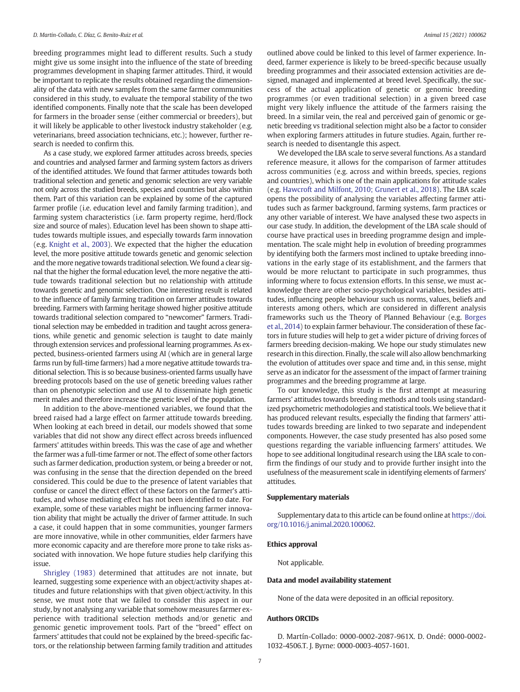breeding programmes might lead to different results. Such a study might give us some insight into the influence of the state of breeding programmes development in shaping farmer attitudes. Third, it would be important to replicate the results obtained regarding the dimensionality of the data with new samples from the same farmer communities considered in this study, to evaluate the temporal stability of the two identified components. Finally note that the scale has been developed for farmers in the broader sense (either commercial or breeders), but it will likely be applicable to other livestock industry stakeholder (e.g. veterinarians, breed association technicians, etc.); however, further research is needed to confirm this.

As a case study, we explored farmer attitudes across breeds, species and countries and analysed farmer and farming system factors as drivers of the identified attitudes. We found that farmer attitudes towards both traditional selection and genetic and genomic selection are very variable not only across the studied breeds, species and countries but also within them. Part of this variation can be explained by some of the captured farmer profile (i.e. education level and family farming tradition), and farming system characteristics (i.e. farm property regime, herd/flock size and source of males). Education level has been shown to shape attitudes towards multiple issues, and especially towards farm innovation (e.g. [Knight et al., 2003](#page-7-0)). We expected that the higher the education level, the more positive attitude towards genetic and genomic selection and the more negative towards traditional selection.We found a clear signal that the higher the formal education level, the more negative the attitude towards traditional selection but no relationship with attitude towards genetic and genomic selection. One interesting result is related to the influence of family farming tradition on farmer attitudes towards breeding. Farmers with farming heritage showed higher positive attitude towards traditional selection compared to "newcomer" farmers. Traditional selection may be embedded in tradition and taught across generations, while genetic and genomic selection is taught to date mainly through extension services and professional learning programmes. As expected, business-oriented farmers using AI (which are in general large farms run by full-time farmers) had a more negative attitude towards traditional selection. This is so because business-oriented farms usually have breeding protocols based on the use of genetic breeding values rather than on phenotypic selection and use AI to disseminate high genetic merit males and therefore increase the genetic level of the population.

In addition to the above-mentioned variables, we found that the breed raised had a large effect on farmer attitude towards breeding. When looking at each breed in detail, our models showed that some variables that did not show any direct effect across breeds influenced farmers' attitudes within breeds. This was the case of age and whether the farmer was a full-time farmer or not. The effect of some other factors such as farmer dedication, production system, or being a breeder or not, was confusing in the sense that the direction depended on the breed considered. This could be due to the presence of latent variables that confuse or cancel the direct effect of these factors on the farmer's attitudes, and whose mediating effect has not been identified to date. For example, some of these variables might be influencing farmer innovation ability that might be actually the driver of farmer attitude. In such a case, it could happen that in some communities, younger farmers are more innovative, while in other communities, elder farmers have more economic capacity and are therefore more prone to take risks associated with innovation. We hope future studies help clarifying this issue.

[Shrigley \(1983\)](#page-7-0) determined that attitudes are not innate, but learned, suggesting some experience with an object/activity shapes attitudes and future relationships with that given object/activity. In this sense, we must note that we failed to consider this aspect in our study, by not analysing any variable that somehow measures farmer experience with traditional selection methods and/or genetic and genomic genetic improvement tools. Part of the "breed" effect on farmers' attitudes that could not be explained by the breed-specific factors, or the relationship between farming family tradition and attitudes outlined above could be linked to this level of farmer experience. Indeed, farmer experience is likely to be breed-specific because usually breeding programmes and their associated extension activities are designed, managed and implemented at breed level. Specifically, the success of the actual application of genetic or genomic breeding programmes (or even traditional selection) in a given breed case might very likely influence the attitude of the farmers raising the breed. In a similar vein, the real and perceived gain of genomic or genetic breeding vs traditional selection might also be a factor to consider when exploring farmers attitudes in future studies. Again, further research is needed to disentangle this aspect.

We developed the LBA scale to serve several functions. As a standard reference measure, it allows for the comparison of farmer attitudes across communities (e.g. across and within breeds, species, regions and countries), which is one of the main applications for attitude scales (e.g. [Hawcroft and Milfont, 2010; Grunert et al., 2018](#page-7-0)). The LBA scale opens the possibility of analysing the variables affecting farmer attitudes such as farmer background, farming systems, farm practices or any other variable of interest. We have analysed these two aspects in our case study. In addition, the development of the LBA scale should of course have practical uses in breeding programme design and implementation. The scale might help in evolution of breeding programmes by identifying both the farmers most inclined to uptake breeding innovations in the early stage of its establishment, and the farmers that would be more reluctant to participate in such programmes, thus informing where to focus extension efforts. In this sense, we must acknowledge there are other socio-psychological variables, besides attitudes, influencing people behaviour such us norms, values, beliefs and interests among others, which are considered in different analysis frameworks such us the Theory of Planned Behaviour (e.g. [Borges](#page-7-0) [et al., 2014\)](#page-7-0) to explain farmer behaviour. The consideration of these factors in future studies will help to get a wider picture of driving forces of farmers breeding decision-making. We hope our study stimulates new research in this direction. Finally, the scale will also allow benchmarking the evolution of attitudes over space and time and, in this sense, might serve as an indicator for the assessment of the impact of farmer training programmes and the breeding programme at large.

To our knowledge, this study is the first attempt at measuring farmers' attitudes towards breeding methods and tools using standardized psychometric methodologies and statistical tools.We believe that it has produced relevant results, especially the finding that farmers' attitudes towards breeding are linked to two separate and independent components. However, the case study presented has also posed some questions regarding the variable influencing farmers' attitudes. We hope to see additional longitudinal research using the LBA scale to confirm the findings of our study and to provide further insight into the usefulness of the measurement scale in identifying elements of farmers' attitudes.

#### Supplementary materials

Supplementary data to this article can be found online at [https://doi.](https://doi.org/10.1016/j.animal.2020.100062) [org/10.1016/j.animal.2020.100062](https://doi.org/10.1016/j.animal.2020.100062).

#### Ethics approval

Not applicable.

#### Data and model availability statement

None of the data were deposited in an official repository.

# Authors ORCIDs

D. Martín-Collado: 0000-0002-2087-961X. D. Ondé: 0000-0002- 1032-4506.T. J. Byrne: 0000-0003-4057-1601.